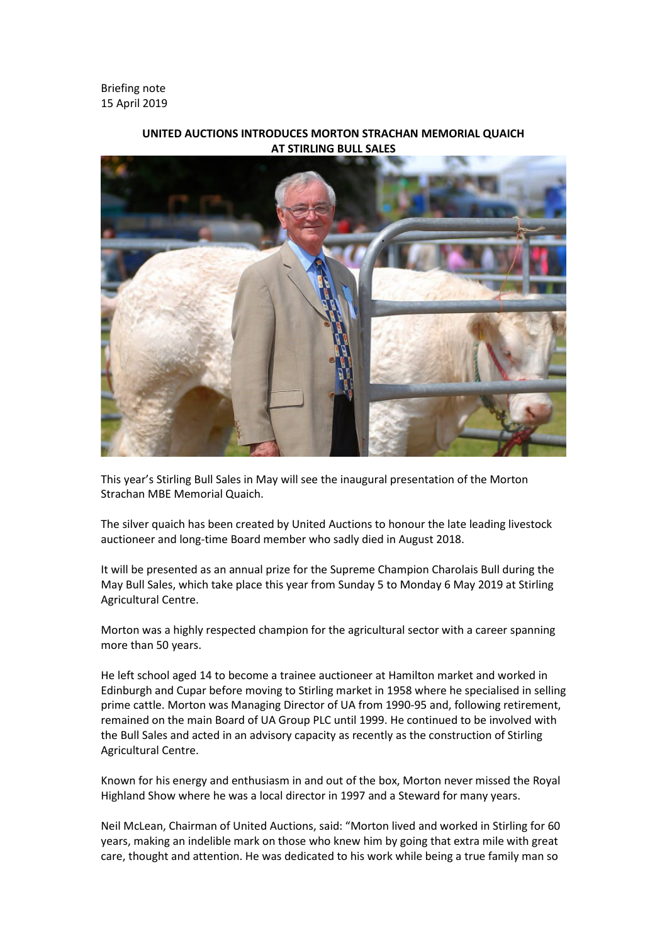Briefing note 15 April 2019



**UNITED AUCTIONS INTRODUCES MORTON STRACHAN MEMORIAL QUAICH AT STIRLING BULL SALES**

This year's Stirling Bull Sales in May will see the inaugural presentation of the Morton Strachan MBE Memorial Quaich.

The silver quaich has been created by United Auctions to honour the late leading livestock auctioneer and long-time Board member who sadly died in August 2018.

It will be presented as an annual prize for the Supreme Champion Charolais Bull during the May Bull Sales, which take place this year from Sunday 5 to Monday 6 May 2019 at Stirling Agricultural Centre.

Morton was a highly respected champion for the agricultural sector with a career spanning more than 50 years.

He left school aged 14 to become a trainee auctioneer at Hamilton market and worked in Edinburgh and Cupar before moving to Stirling market in 1958 where he specialised in selling prime cattle. Morton was Managing Director of UA from 1990-95 and, following retirement, remained on the main Board of UA Group PLC until 1999. He continued to be involved with the Bull Sales and acted in an advisory capacity as recently as the construction of Stirling Agricultural Centre.

Known for his energy and enthusiasm in and out of the box, Morton never missed the Royal Highland Show where he was a local director in 1997 and a Steward for many years.

Neil McLean, Chairman of United Auctions, said: "Morton lived and worked in Stirling for 60 years, making an indelible mark on those who knew him by going that extra mile with great care, thought and attention. He was dedicated to his work while being a true family man so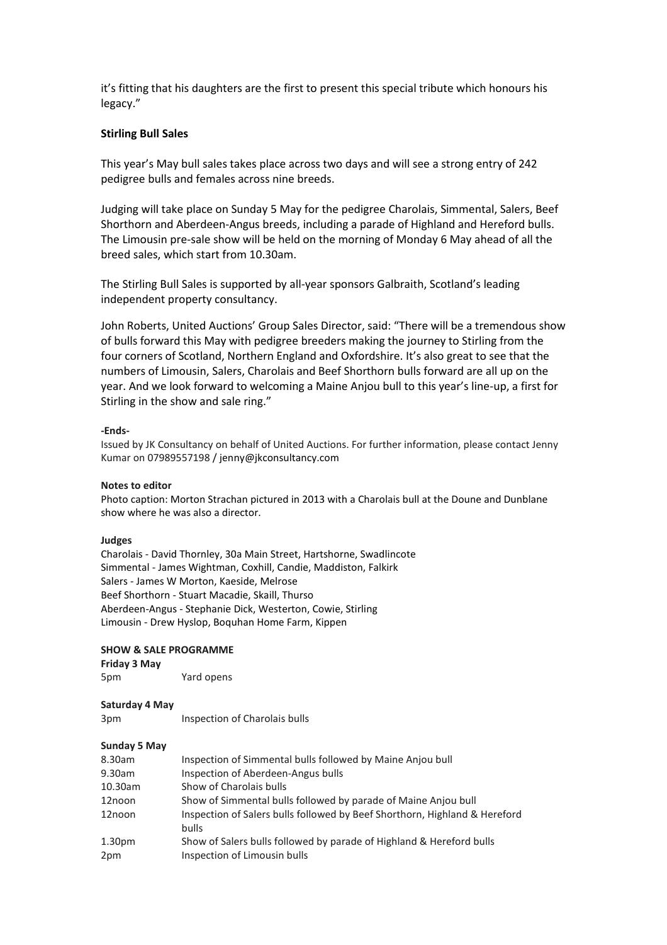it's fitting that his daughters are the first to present this special tribute which honours his legacy."

# **Stirling Bull Sales**

This year's May bull sales takes place across two days and will see a strong entry of 242 pedigree bulls and females across nine breeds.

Judging will take place on Sunday 5 May for the pedigree Charolais, Simmental, Salers, Beef Shorthorn and Aberdeen-Angus breeds, including a parade of Highland and Hereford bulls. The Limousin pre-sale show will be held on the morning of Monday 6 May ahead of all the breed sales, which start from 10.30am.

The Stirling Bull Sales is supported by all-year sponsors Galbraith, Scotland's leading independent property consultancy.

John Roberts, United Auctions' Group Sales Director, said: "There will be a tremendous show of bulls forward this May with pedigree breeders making the journey to Stirling from the four corners of Scotland, Northern England and Oxfordshire. It's also great to see that the numbers of Limousin, Salers, Charolais and Beef Shorthorn bulls forward are all up on the year. And we look forward to welcoming a Maine Anjou bull to this year's line-up, a first for Stirling in the show and sale ring."

#### **-Ends-**

Issued by JK Consultancy on behalf of United Auctions. For further information, please contact Jenny Kumar on 07989557198 / jenny@jkconsultancy.com

### **Notes to editor**

Photo caption: Morton Strachan pictured in 2013 with a Charolais bull at the Doune and Dunblane show where he was also a director.

#### **Judges**

Charolais - David Thornley, 30a Main Street, Hartshorne, Swadlincote Simmental - James Wightman, Coxhill, Candie, Maddiston, Falkirk Salers - James W Morton, Kaeside, Melrose Beef Shorthorn - Stuart Macadie, Skaill, Thurso Aberdeen-Angus - Stephanie Dick, Westerton, Cowie, Stirling Limousin - Drew Hyslop, Boquhan Home Farm, Kippen

#### **SHOW & SALE PROGRAMME**

**Friday 3 May**

5pm Yard opens

#### **Saturday 4 May**

3pm Inspection of Charolais bulls

## **Sunday 5 May**

| 8.30am             | Inspection of Simmental bulls followed by Maine Anjou bull                          |  |
|--------------------|-------------------------------------------------------------------------------------|--|
| 9.30am             | Inspection of Aberdeen-Angus bulls                                                  |  |
| 10.30am            | Show of Charolais bulls                                                             |  |
| 12noon             | Show of Simmental bulls followed by parade of Maine Anjou bull                      |  |
| 12noon             | Inspection of Salers bulls followed by Beef Shorthorn, Highland & Hereford<br>bulls |  |
| 1.30 <sub>pm</sub> | Show of Salers bulls followed by parade of Highland & Hereford bulls                |  |
| 2pm                | Inspection of Limousin bulls                                                        |  |